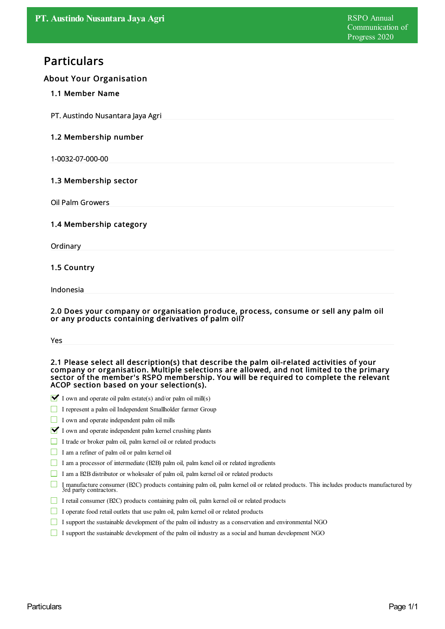# Particulars

# About Your Organisation

# 1.1 Member Name

PT. Austindo Nusantara Jaya Agri

# 1.2 Membership number

1-0032-07-000-00

# 1.3 Membership sector

Oil Palm Growers

#### 1.4 Membership category

**Ordinary** 

# 1.5 Country

Indonesia

#### 2.0 Does your company or organisation produce, process, consume or sell any palm oil or any products containing derivatives of palm oil?

#### 2.1 Please select all description(s) that describe the palm oil-related activities of your company or organisation. Multiple selections are allowed, and not limited to the primary sector of the member's RSPO membership. You will be required to complete the relevant ACOP section based on your selection(s).

- $\blacktriangleright$  I own and operate oil palm estate(s) and/or palm oil mill(s)
- I represent a palm oil Independent Smallholder farmer Group
- I own and operate independent palm oil mills
- $\blacksquare$  I own and operate independent palm kernel crushing plants
- I trade or broker palm oil, palm kernel oil or related products
- I am a refiner of palm oil or palm kernel oil
- I am a processor of intermediate (B2B) palm oil, palm kenel oil or related ingredients
- I am a B2B distributor or wholesaler of palm oil, palm kernel oil or related products
- П I manufacture consumer (B2C) products containing palm oil, palm kernel oil or related products. This includes products manufactured by 3rd party contractors.
- I retail consumer (B2C) products containing palm oil, palm kernel oil or related products
- $\Box$  I operate food retail outlets that use palm oil, palm kernel oil or related products
- I support the sustainable development of the palm oil industry as a conservation and environmental NGO
- I support the sustainable development of the palm oil industry as a socialand human development NGO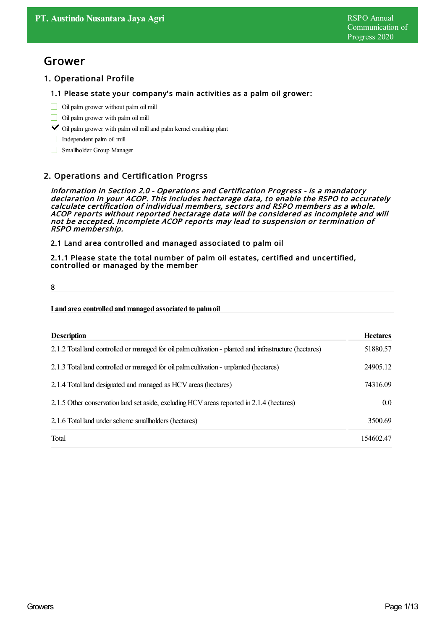# Grower

# 1. Operational Profile

#### 1.1 Please state your company's main activities as a palm oil grower:

- $\Box$  Oil palm grower without palm oil mill
- Oil palm grower with palm oil mill
- $\triangleright$  Oil palm grower with palm oil mill and palm kernel crushing plant
- Independent palm oil mill
- Smallholder Group Manager

# 2. Operations and Certification Progrss

Information in Section 2.0 - Operations and Certification Progress - is <sup>a</sup> mandatory declaration in your ACOP. This includes hectarage data, to enable the RSPO to accurately calculate certification of individual members, sectors and RSPO members as <sup>a</sup> whole. ACOP reports without reported hectarage data will be considered as incomplete and will not be accepted. Incomplete ACOP reports may lead to suspension or termination of RSPO membership.

2.1 Land area controlled and managed associated to palm oil

2.1.1 Please state the total number of palm oil estates, certified and uncertified, controlled or managed by the member

8

#### **Land area controlled andmanaged associated to palmoil**

| <b>Description</b>                                                                                      | <b>Hectares</b> |
|---------------------------------------------------------------------------------------------------------|-----------------|
| 2.1.2 Total land controlled or managed for oil palm cultivation - planted and infrastructure (hectares) | 51880.57        |
| 2.1.3 Total land controlled or managed for oil palm cultivation - unplanted (hectares)                  | 24905.12        |
| 2.1.4 Total land designated and managed as HCV areas (hectares)                                         | 74316.09        |
| 2.1.5 Other conservation land set aside, excluding HCV areas reported in 2.1.4 (hectares)               | 0.0             |
| 2.1.6 Total land under scheme smallholders (hectares)                                                   | 3500.69         |
| Total                                                                                                   | 154602.47       |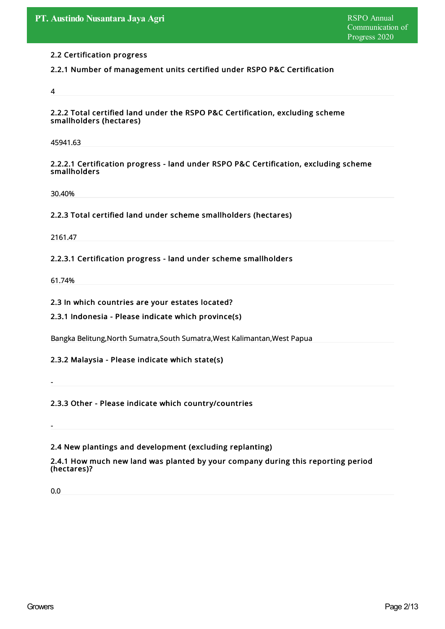# 2.2 Certification progress

# 2.2.1 Number of management units certified under RSPO P&C Certification

4

2.2.2 Total certified land under the RSPO P&C Certification, excluding scheme smallholders (hectares)

45941.63

#### 2.2.2.1 Certification progress - land under RSPO P&C Certification, excluding scheme smallholders

30.40%

# 2.2.3 Total certified land under scheme smallholders (hectares)

2161.47

# 2.2.3.1 Certification progress - land under scheme smallholders

61.74%

2.3 In which countries are your estates located?

2.3.1 Indonesia - Please indicate which province(s)

Bangka Belitung,North Sumatra,South Sumatra,West Kalimantan,West Papua

# 2.3.2 Malaysia - Please indicate which state(s)

2.3.3 Other - Please indicate which country/countries

# 2.4 New plantings and development (excluding replanting)

2.4.1 How much new land was planted by your company during this reporting period (hectares)?

0.0

-

-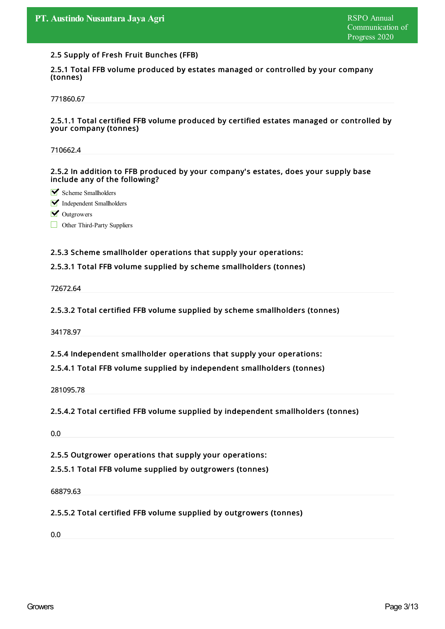#### 2.5 Supply of Fresh Fruit Bunches (FFB)

2.5.1 Total FFB volume produced by estates managed or controlled by your company (tonnes)

771860.67

#### 2.5.1.1 Total certified FFB volume produced by certified estates managed or controlled by your company (tonnes)

710662.4

2.5.2 In addition to FFB produced by your company's estates, does your supply base include any of the following?

Scheme Smallholders

Independent Smallholders

**V** Outgrowers

Other Third-Party Suppliers

#### 2.5.3 Scheme smallholder operations that supply your operations:

# 2.5.3.1 Total FFB volume supplied by scheme smallholders (tonnes)

72672.64

#### 2.5.3.2 Total certified FFB volume supplied by scheme smallholders (tonnes)

34178.97

2.5.4 Independent smallholder operations that supply your operations:

#### 2.5.4.1 Total FFB volume supplied by independent smallholders (tonnes)

281095.78

# 2.5.4.2 Total certified FFB volume supplied by independent smallholders (tonnes)

0.0

2.5.5 Outgrower operations that supply your operations:

2.5.5.1 Total FFB volume supplied by outgrowers (tonnes)

68879.63

2.5.5.2 Total certified FFB volume supplied by outgrowers (tonnes)

0.0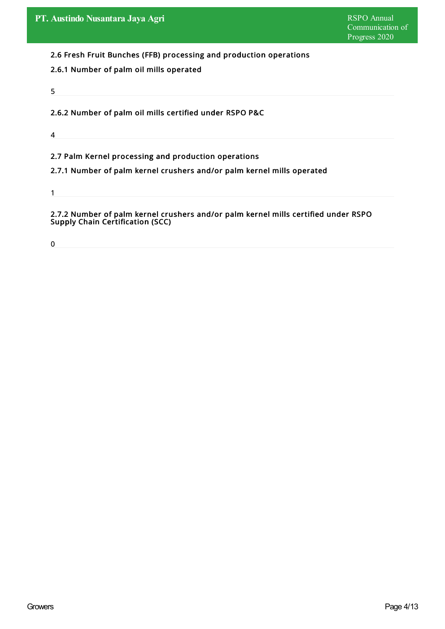2.6 Fresh Fruit Bunches (FFB) processing and production operations

- 2.6.1 Number of palm oil mills operated
- 5

2.6.2 Number of palm oil mills certified under RSPO P&C

4

2.7 Palm Kernel processing and production operations

2.7.1 Number of palm kernel crushers and/or palm kernel mills operated

1

2.7.2 Number of palm kernel crushers and/or palm kernel mills certified under RSPO Supply Chain Certification (SCC)

0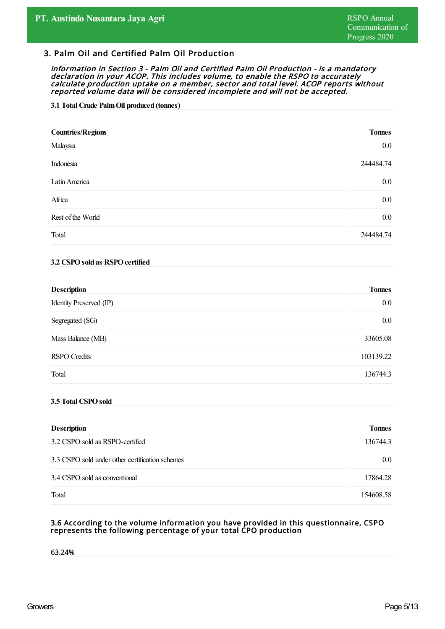# 3. Palm Oil and Certified Palm Oil Production

Information in Section 3 - Palm Oil and Certified Palm Oil Production - is <sup>a</sup> mandatory declaration in your ACOP. This includes volume, to enable the RSPO to accurately calculate production uptake on <sup>a</sup> member, sector and total level. ACOP reports without reported volume data will be considered incomplete and will not be accepted.

#### **3.1 Total Crude PalmOil produced (tonnes)**

| <b>Countries/Regions</b> | <b>Tonnes</b> |
|--------------------------|---------------|
| Malaysia                 | $0.0\,$       |
| Indonesia                | 244484.74     |
| Latin America            | $0.0\,$       |
| Africa                   | $0.0\,$       |
| Rest of the World        | $0.0\,$       |
| Total                    | 244484.74     |

#### **3.2 CSPOsold as RSPOcertified**

| <b>Description</b>      | <b>Tonnes</b> |
|-------------------------|---------------|
| Identity Preserved (IP) | $0.0\,$       |
| Segregated (SG)         | $0.0\,$       |
| Mass Balance (MB)       | 33605.08      |
| <b>RSPO</b> Credits     | 103139.22     |
| Total                   | 136744.3      |

#### **3.5 Total CSPOsold**

| <b>Description</b>                              | <b>Tonnes</b>    |
|-------------------------------------------------|------------------|
| 3.2 CSPO sold as RSPO-certified                 | 136744.3         |
| 3.3 CSPO sold under other certification schemes | 0.0 <sub>1</sub> |
| 3.4 CSPO sold as conventional                   | 17864.28         |
| Total                                           | 154608.58        |

#### 3.6 According to the volume information you have provided in this questionnaire, CSPO represents the following percentage of your total CPO production

63.24%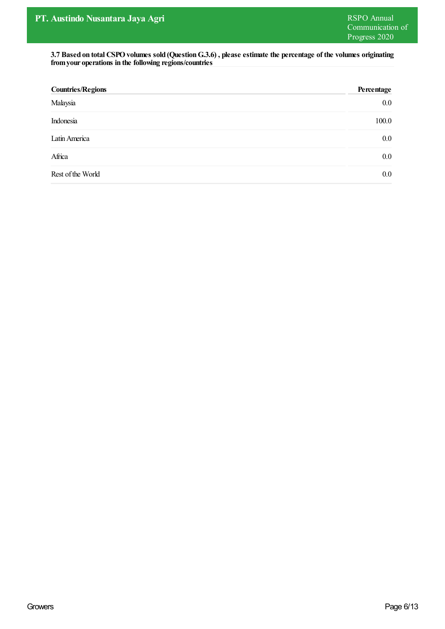**3.7 Based on total CSPOvolumes sold (QuestionG.3.6) , please estimate the percentage of the volumes originating fromyour operations in the following regions/countries**

| <b>Countries/Regions</b> | Percentage |
|--------------------------|------------|
| Malaysia                 | $0.0\,$    |
| Indonesia                | 100.0      |
| Latin America            | $0.0\,$    |
| Africa                   | $0.0\,$    |
| Rest of the World        | $0.0\,$    |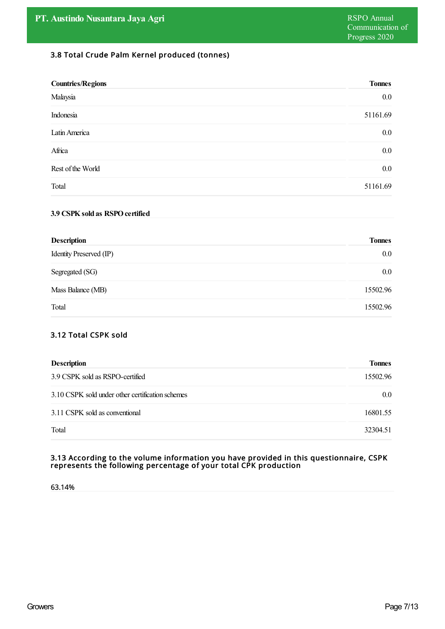# 3.8 Total Crude Palm Kernel produced (tonnes)

| <b>Countries/Regions</b> | <b>Tonnes</b> |
|--------------------------|---------------|
| Malaysia                 | $0.0\,$       |
| Indonesia                | 51161.69      |
| Latin America            | $0.0\,$       |
| Africa                   | $0.0\,$       |
| Rest of the World        | $0.0\,$       |
| Total                    | 51161.69      |

#### **3.9 CSPKsold as RSPOcertified**

| <b>Description</b>      | <b>Tonnes</b> |
|-------------------------|---------------|
| Identity Preserved (IP) | $0.0\,$       |
| Segregated (SG)         | $0.0\,$       |
| Mass Balance (MB)       | 15502.96      |
| Total                   | 15502.96      |

# 3.12 Total CSPK sold

| <b>Description</b>                               | <b>Tonnes</b> |
|--------------------------------------------------|---------------|
| 3.9 CSPK sold as RSPO-certified                  | 15502.96      |
| 3.10 CSPK sold under other certification schemes | 0.0           |
| 3.11 CSPK sold as conventional                   | 16801.55      |
| Total                                            | 32304.51      |

#### 3.13 According to the volume information you have provided in this questionnaire, CSPK represents the following percentage of your total CPK production

63.14%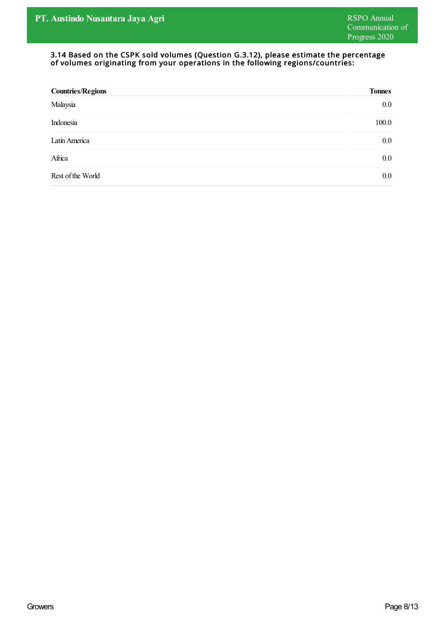#### 3.14 Based on the CSPK sold volumes (Question G.3.12), please estimate the percentage of volumes originating from your operations in the following regions/countries:

| <b>Countries/Regions</b> | <b>Tonnes</b> |
|--------------------------|---------------|
| Malaysia                 | 0.0           |
| Indonesia                | 100.0         |
| Latin America            | 0.0           |
| Africa                   | 0.0           |
| Rest of the World        | $0.0\,$       |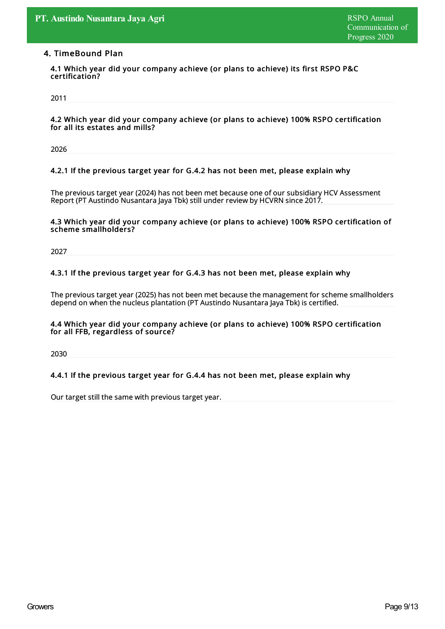# 4. TimeBound Plan

4.1 Which year did your company achieve (or plans to achieve) its first RSPO P&C certification?

2011

4.2 Which year did your company achieve (or plans to achieve) 100% RSPO certification for all its estates and mills?

2026

#### 4.2.1 If the previous target year for G.4.2 has not been met, please explain why

The previous target year (2024) has not been met because one of our subsidiary HCV Assessment Report (PT Austindo Nusantara Jaya Tbk) still under review by HCVRN since 2017.

#### 4.3 Which year did your company achieve (or plans to achieve) 100% RSPO certification of scheme smallholders?

2027

# 4.3.1 If the previous target year for G.4.3 has not been met, please explain why

The previous target year (2025) has not been met because the management for scheme smallholders depend on when the nucleus plantation (PT Austindo Nusantara Jaya Tbk) is certified.

#### 4.4 Which year did your company achieve (or plans to achieve) 100% RSPO certification for all FFB, regardless of source?

2030

# 4.4.1 If the previous target year for G.4.4 has not been met, please explain why

Our target still the same with previous target year.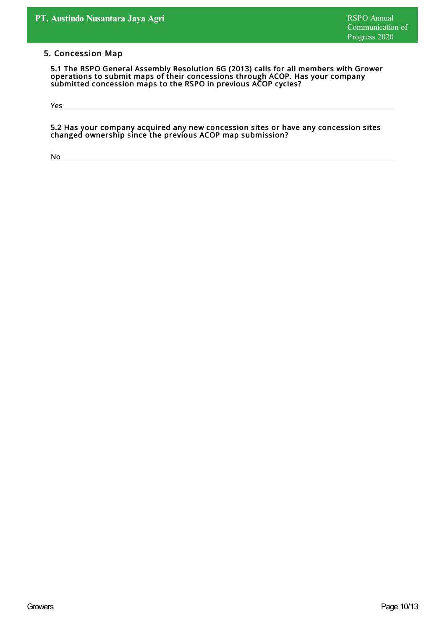# 5. Concession Map

5.1 The RSPO General Assembly Resolution 6G (2013) calls for all members with Grower operations to submit maps of their concessions through ACOP. Has your company submitted concession maps to the RSPO in previous ACOP cycles?

Yes

5.2 Has your company acquired any new concession sites or have any concession sites changed ownership since the previous ACOP map submission?

No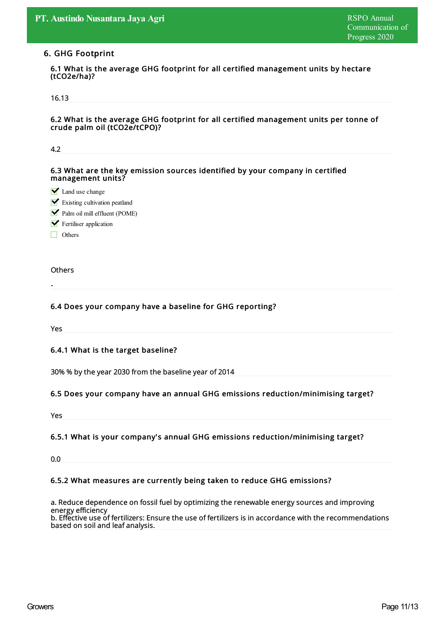#### 6. GHG Footprint

6.1 What is the average GHG footprint for all certified management units by hectare (tCO2e/ha)?

#### 16.13

6.2 What is the average GHG footprint for all certified management units per tonne of crude palm oil (tCO2e/tCPO)?

| 4.2                                                                                                |
|----------------------------------------------------------------------------------------------------|
|                                                                                                    |
| 6.3 What are the key emission sources identified by your company in certified<br>management units? |
| $\blacktriangleright$ Land use change                                                              |
| $\blacksquare$ Existing cultivation peatland                                                       |
| Palm oil mill effluent (POME)                                                                      |
| $\blacktriangleright$ Fertiliser application                                                       |
| $\Box$ Others                                                                                      |
|                                                                                                    |
| <b>Others</b>                                                                                      |
|                                                                                                    |
| 6.4 Does your company have a baseline for GHG reporting?                                           |
| Yes                                                                                                |
|                                                                                                    |
| 6.4.1 What is the target baseline?                                                                 |
|                                                                                                    |
| 30% % by the year 2030 from the baseline year of 2014                                              |
|                                                                                                    |
| 6.5 Does your company have an annual GHG emissions reduction/minimising target?                    |
|                                                                                                    |
| Yes                                                                                                |

# 6.5.1 What is your company's annual GHG emissions reduction/minimising target?

0.0

# 6.5.2 What measures are currently being taken to reduce GHG emissions?

a. Reduce dependence on fossil fuel by optimizing the renewable energysources and improving energy efficiency b. Effective use of fertilizers: Ensure the use of fertilizers is in accordance with the recommendations based on soil and leaf analysis.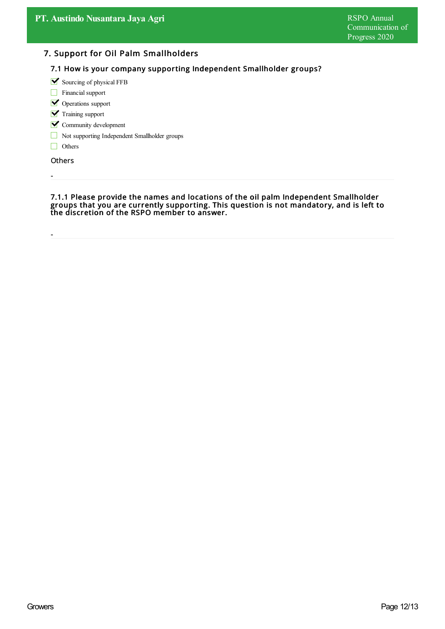# 7. Support for Oil Palm Smallholders

# 7.1 How is your company supporting Independent Smallholder groups?

 $\blacktriangleright$  Sourcing of physical FFB

- Financial support
- **V** Operations support
- $\triangledown$  Training support
- **Y** Community development
- Not supporting Independent Smallholder groups
- Others

**Others** 

-

-

7.1.1 Please provide the names and locations of the oil palm Independent Smallholder groups that you are currently supporting. This question is not mandatory, and is left to the discretion of the RSPO member to answer.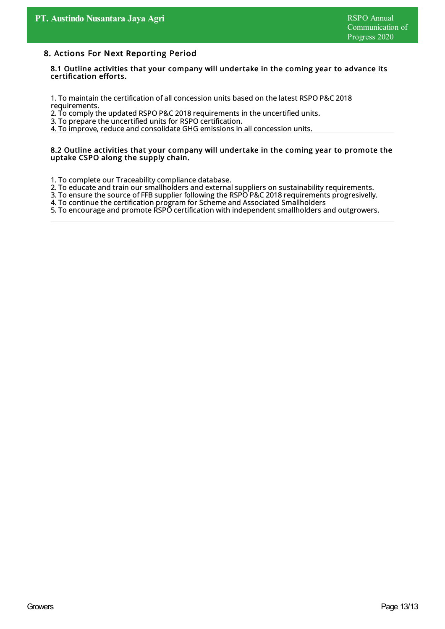#### 8. Actions For Next Reporting Period

8.1 Outline activities that your company will undertake in the coming year to advance its certification efforts.

1. To maintain the certification of all concession units based on the latest RSPO P&C 2018 requirements.

2. To comply the updated RSPO P&C 2018 requirements in the uncertified units.

3. To prepare the uncertified units for RSPO certification.

4. To improve, reduce and consolidate GHG emissions in all concession units.

#### 8.2 Outline activities that your company will undertake in the coming year to promote the uptake CSPO along the supply chain.

- 1. To complete our Traceability compliance database.
- 2. To educate and train our smallholders and external suppliers on sustainabilityrequirements.
- 3. To ensure the source of FFB supplier following the RSPO P&C 2018 requirements progresivelly.
- 4. To continue the certification program for Scheme and Associated Smallholders

5. To encourage and promote RSPO certification with independent smallholders and outgrowers.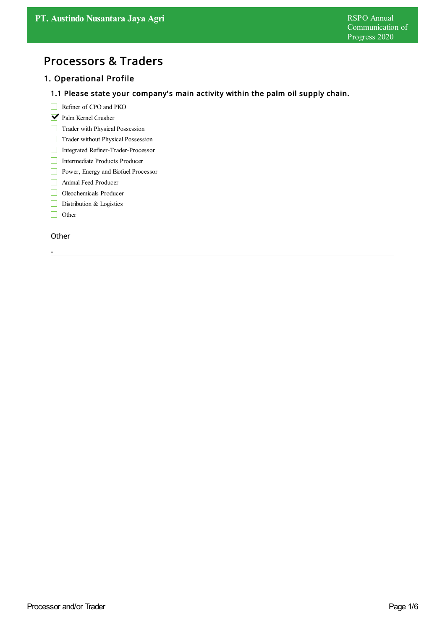# Processors & Traders

# 1. Operational Profile

# 1.1 Please state your company's main activity within the palm oil supply chain.

- Refiner of CPO and PKO
- Palm Kernel Crusher
- Trader with Physical Possession
- Trader without Physical Possession
- Integrated Refiner-Trader-Processor
- Intermediate Products Producer
- **Power**, Energy and Biofuel Processor
- Animal Feed Producer
- Oleochemicals Producer
- Distribution & Logistics
- $\Box$  Other

#### **Other**

-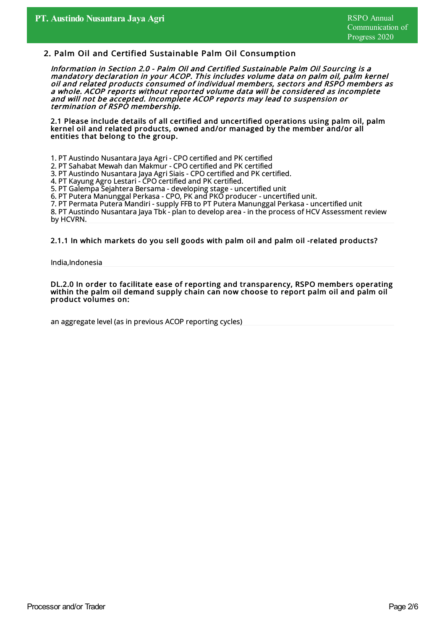# 2. Palm Oil and Certified Sustainable Palm Oil Consumption

Information in Section 2.0 - Palm Oil and Certified Sustainable Palm Oil Sourcing is <sup>a</sup> mandatory declaration in your ACOP. This includes volume data on palm oil, palm kernel oil and related products consumed of individual members, sectors and RSPO members as <sup>a</sup> whole. ACOP reports without reported volume data will be considered as incomplete and will not be accepted. Incomplete ACOP reports may lead to suspension or termination of RSPO membership.

2.1 Please include details of all certified and uncertified operations using palm oil, palm kernel oil and related products, owned and/or managed by the member and/or all entities that belong to the group.

- 1. PT Austindo Nusantara Jaya Agri CPO certified and PK certified
- 2. PT Sahabat Mewah dan Makmur CPO certified and PK certified
- 3. PT Austindo Nusantara Jaya Agri Siais CPO certified and PK certified.
- 4. PT Kayung Agro Lestari CPO certified and PK certified.

5. PT Galempa Sejahtera Bersama - developing stage - uncertified unit

6. PT Putera Manunggal Perkasa - CPO, PK and PKO producer - uncertified unit.

7. PT Permata Putera Mandiri - supply FFB to PT Putera Manunggal Perkasa - uncertified unit

8. PT Austindo Nusantara Jaya Tbk- plan to develop area - in the process of HCV Assessment review by HCVRN.

#### 2.1.1 In which markets do you sell goods with palm oil and palm oil -related products?

India,Indonesia

DL.2.0 In order to facilitate ease of reporting and transparency, RSPO members operating within the palm oil demand supply chain can now choose to report palm oil and palm oil product volumes on:

an aggregate level (as in previous ACOP reporting cycles)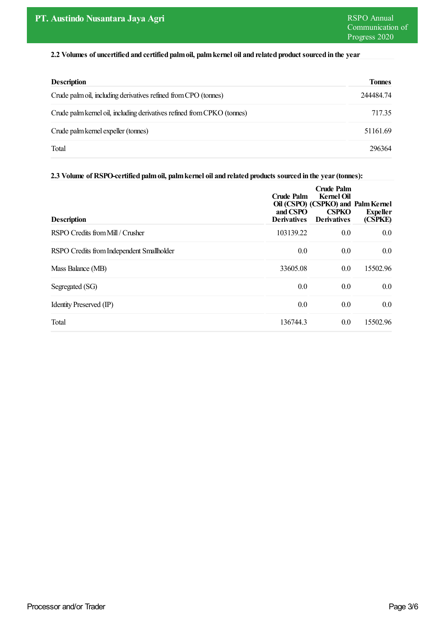# **2.2 Volumes of uncertified and certified palmoil, palmkernel oil and related product sourced in the year**

| <b>Description</b>                                                      | <b>Tonnes</b> |
|-------------------------------------------------------------------------|---------------|
| Crude palm oil, including derivatives refined from CPO (tonnes)         | 244484.74     |
| Crude palm kernel oil, including derivatives refined from CPKO (tonnes) | 717.35        |
| Crude palm kernel expeller (tonnes)                                     | 51161.69      |
| Total                                                                   | 296364        |

#### **2.3 Volume of RSPO-certified palmoil, palmkernel oil and related products sourced in the year(tonnes):**

| <b>Description</b>                        | Crude Palm<br>and CSPO<br><b>Derivatives</b> | Crude Palm<br><b>Kernel Oil</b><br>Oil (CSPO) (CSPKO) and Palm Kernel<br><b>CSPKO</b><br><b>Derivatives</b> | <b>Expeller</b><br>(CSPKE) |
|-------------------------------------------|----------------------------------------------|-------------------------------------------------------------------------------------------------------------|----------------------------|
| RSPO Credits from Mill / Crusher          | 103139.22                                    | 0.0                                                                                                         | 0.0                        |
| RSPO Credits from Independent Smallholder | 0.0                                          | 0.0                                                                                                         | 0.0                        |
| Mass Balance (MB)                         | 33605.08                                     | 0.0                                                                                                         | 15502.96                   |
| Segregated (SG)                           | 0.0                                          | 0.0                                                                                                         | 0.0                        |
| Identity Preserved (IP)                   | 0.0                                          | 0.0                                                                                                         | 0.0                        |
| Total                                     | 136744.3                                     | 0.0                                                                                                         | 15502.96                   |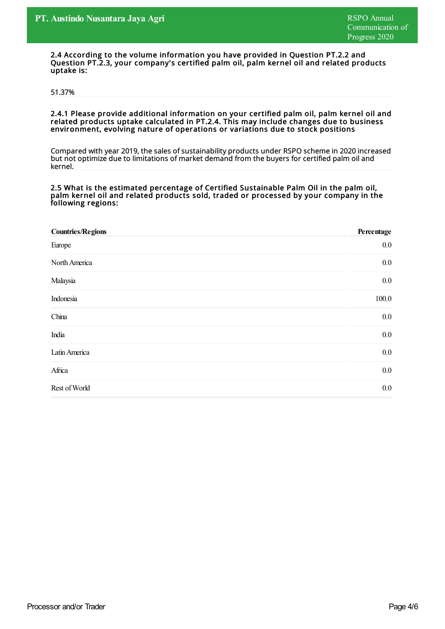2.4 According to the volume information you have provided in Question PT.2.2 and Question PT.2.3, your company's certified palm oil, palm kernel oil and related products uptake is:

#### 51.37%

2.4.1 Please provide additional information on your certified palm oil, palm kernel oil and related products uptake calculated in PT.2.4. This may include changes due to business environment, evolving nature of operations or variations due to stock positions

Compared with year 2019, the sales of sustainability products under RSPO scheme in 2020 increased but not optimize due to limitations of market demand from the buyers for certified palm oil and kernel.

#### 2.5 What is the estimated percentage of Certified Sustainable Palm Oil in the palm oil, palm kernel oil and related products sold, traded or processed by your company in the following regions:

| <b>Countries/Regions</b> | Percentage |
|--------------------------|------------|
| Europe                   | $0.0\,$    |
| North America            | $0.0\,$    |
| Malaysia                 | $0.0\,$    |
| Indonesia                | 100.0      |
| China                    | $0.0\,$    |
| India                    | $0.0\,$    |
| Latin America            | $0.0\,$    |
| Africa                   | $0.0\,$    |
| Rest of World            | $0.0\,$    |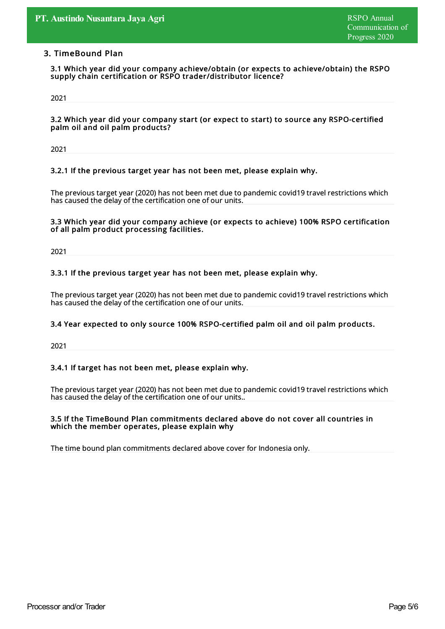# 3. TimeBound Plan

3.1 Which year did your company achieve/obtain (or expects to achieve/obtain) the RSPO supply chain certification or RSPO trader/distributor licence?

2021

3.2 Which year did your company start (or expect to start) to source any RSPO-certified palm oil and oil palm products?

2021

#### 3.2.1 If the previous target year has not been met, please explain why.

The previous target year (2020) has not been met due to pandemic covid19 travel restrictions which has caused the delay of the certification one of our units.

#### 3.3 Which year did your company achieve (or expects to achieve) 100% RSPO certification of all palm product processing facilities.

2021

#### 3.3.1 If the previous target year has not been met, please explain why.

The previous target year (2020) has not been met due to pandemic covid19 travel restrictions which has caused the delay of the certification one of our units.

#### 3.4 Year expected to only source 100% RSPO-certified palm oil and oil palm products.

2021

#### 3.4.1 If target has not been met, please explain why.

The previous target year (2020) has not been met due to pandemic covid19 travel restrictions which has caused the delay of the certification one of our units..

#### 3.5 If the TimeBound Plan commitments declared above do not cover all countries in which the member operates, please explain why

The time bound plan commitments declared above cover for Indonesia only.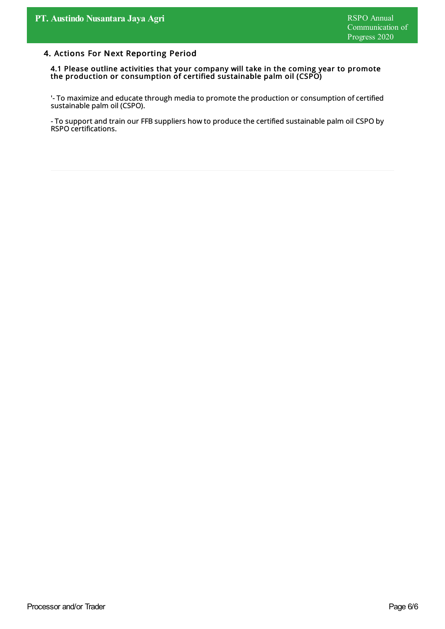# 4. Actions For Next Reporting Period

4.1 Please outline activities that your company will take in the coming year to promote the production or consumption of certified sustainable palm oil (CSPO)

'- To maximize and educate through media to promote the production or consumption of certified sustainable palm oil (CSPO).

- To support and train our FFB suppliers how to produce the certified sustainable palm oil CSPO by RSPO certifications.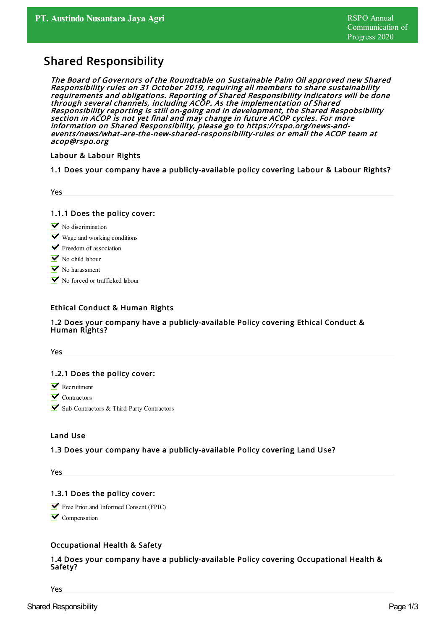# Shared Responsibility

The Board of Governors of the Roundtable on Sustainable Palm Oil approved new Shared Responsibility rules on 31 October 2019, requiring all members to share sustainability requirements and obligations. Reporting of Shared Responsibility indicators will be done through several channels, including ACOP. As the implementation of Shared Responsibility reporting is still on-going and in development, the Shared Respobsibility section in ACOP is not yet final and may change in future ACOP cycles. For more information on Shared Responsibility, please go to https://rspo.org/news-andevents/news/what-are-the-new-shared-responsibility-rules or email the ACOP team at acop@rspo.org

Labour & Labour Rights

1.1 Does your company have a publicly-available policy covering Labour & Labour Rights?

1.1.1 Does the policy cover:

- $\triangleright$  No discrimination
- $\blacksquare$  Wage and working conditions
- $\blacktriangleright$  Freedom of association
- $\triangleright$  No child labour
- $\triangleright$  No harassment
- No forced or trafficked labour

# Ethical Conduct & Human Rights

#### 1.2 Does your company have a publicly-available Policy covering Ethical Conduct & Human Rights?

Yes

# 1.2.1 Does the policy cover:

- **N** Recruitment
- $\triangledown$  Contractors
- Sub-Contractors & Third-Party Contractors

#### Land Use

# 1.3 Does your company have a publicly-available Policy covering Land Use?

Yes

# 1.3.1 Does the policy cover:

**Free Prior and Informed Consent (FPIC)** 

 $\triangleright$  Compensation

# Occupational Health & Safety

# 1.4 Does your company have a publicly-available Policy covering Occupational Health & Safety?

Yes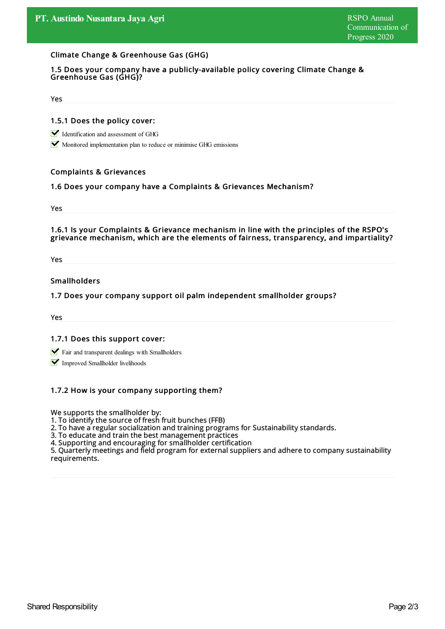#### Climate Change & Greenhouse Gas (GHG)

#### 1.5 Does your company have a publicly-available policy covering Climate Change & Greenhouse Gas (GHG)?

Yes

#### 1.5.1 Does the policy cover:

Identification and assessment of GHG

Monitored implementation plan to reduce or minimise GHG emissions

#### Complaints & Grievances

#### 1.6 Does your company have a Complaints & Grievances Mechanism?

Yes

#### 1.6.1 Is your Complaints & Grievance mechanism in line with the principles of the RSPO's grievance mechanism, which are the elements of fairness, transparency, and impartiality?

Yes

### Smallholders

#### 1.7 Does your company support oil palm independent smallholder groups?

Yes

#### 1.7.1 Does this support cover:

- Fair and transparent dealings with Smallholders
- **V** Improved Smallholder livelihoods

#### 1.7.2 How is your company supporting them?

We supports the smallholder by:

1. To identify the source of fresh fruit bunches (FFB)

2. To have a regular socialization and training programs for Sustainability standards.

3. To educate and train the best management practices

4. Supporting and encouraging for smallholder certification

5. Quarterly meetings and field program for external suppliers and adhere to companysustainability requirements.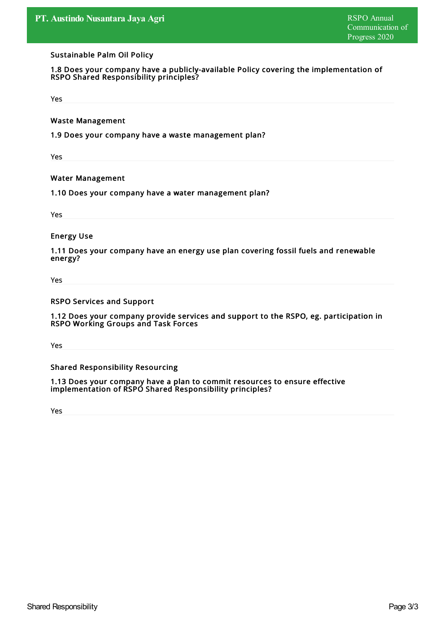#### Sustainable Palm Oil Policy

1.8 Does your company have a publicly-available Policy covering the implementation of RSPO Shared Responsibility principles?

Yes

Waste Management

1.9 Does your company have a waste management plan?

Yes

Water Management

1.10 Does your company have a water management plan?

Yes

Energy Use

1.11 Does your company have an energy use plan covering fossil fuels and renewable energy?

Yes

RSPO Services and Support

1.12 Does your company provide services and support to the RSPO, eg. participation in RSPO Working Groups and Task Forces

Yes

Shared Responsibility Resourcing

1.13 Does your company have a plan to commit resources to ensure effective implementation of RSPO Shared Responsibility principles?

Yes